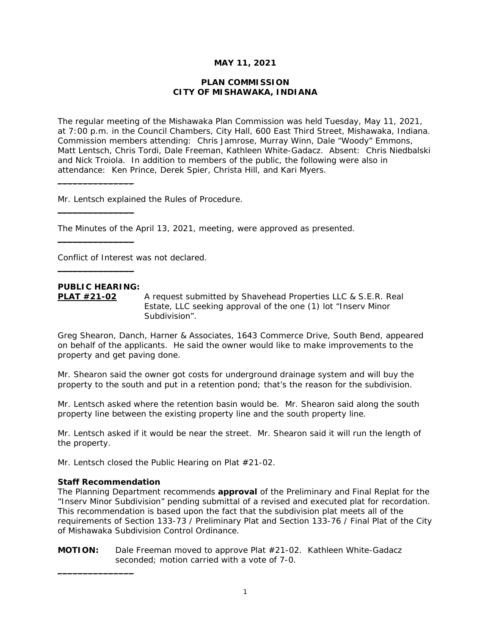## **MAY 11, 2021**

### **PLAN COMMISSION CITY OF MISHAWAKA, INDIANA**

The regular meeting of the Mishawaka Plan Commission was held Tuesday, May 11, 2021, at 7:00 p.m. in the Council Chambers, City Hall, 600 East Third Street, Mishawaka, Indiana. Commission members attending: Chris Jamrose, Murray Winn, Dale "Woody" Emmons, Matt Lentsch, Chris Tordi, Dale Freeman, Kathleen White-Gadacz. Absent: Chris Niedbalski and Nick Troiola. In addition to members of the public, the following were also in attendance: Ken Prince, Derek Spier, Christa Hill, and Kari Myers.

Mr. Lentsch explained the Rules of Procedure.

The Minutes of the April 13, 2021, meeting, were approved as presented.

Conflict of Interest was not declared.

# **PUBLIC HEARING:**

 $\overline{\phantom{a}}$  , where the contract of the contract of the contract of the contract of the contract of the contract of the contract of the contract of the contract of the contract of the contract of the contract of the contr

 $\_$ 

 $\_$ 

 $\_$ 

**PLAT #21-02** A request submitted by Shavehead Properties LLC & S.E.R. Real Estate, LLC seeking approval of the one (1) lot "Inserv Minor Subdivision".

Greg Shearon, Danch, Harner & Associates, 1643 Commerce Drive, South Bend, appeared on behalf of the applicants. He said the owner would like to make improvements to the property and get paving done.

Mr. Shearon said the owner got costs for underground drainage system and will buy the property to the south and put in a retention pond; that's the reason for the subdivision.

Mr. Lentsch asked where the retention basin would be. Mr. Shearon said along the south property line between the existing property line and the south property line.

Mr. Lentsch asked if it would be near the street. Mr. Shearon said it will run the length of the property.

Mr. Lentsch closed the Public Hearing on Plat #21-02.

### **Staff Recommendation**

 $\_$ 

*The Planning Department recommends approval of the Preliminary and Final Replat for the "Inserv Minor Subdivision" pending submittal of a revised and executed plat for recordation. This recommendation is based upon the fact that the subdivision plat meets all of the requirements of Section 133-73 / Preliminary Plat and Section 133-76 / Final Plat of the City of Mishawaka Subdivision Control Ordinance.* 

**MOTION:** Dale Freeman moved to approve Plat #21-02. Kathleen White-Gadacz seconded; motion carried with a vote of 7-0.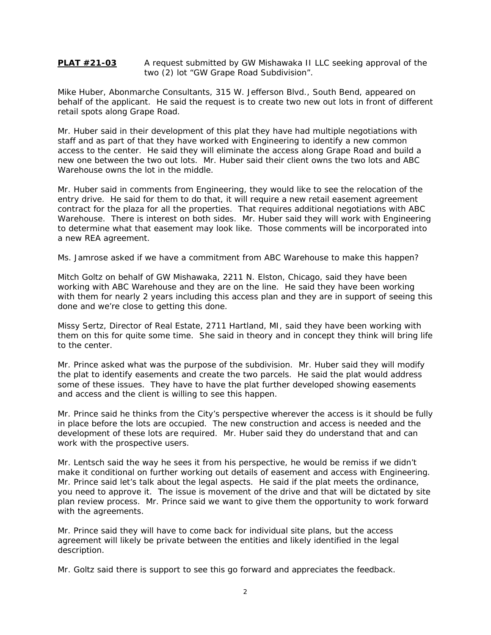### **PLAT #21-03** A request submitted by GW Mishawaka II LLC seeking approval of the two (2) lot "GW Grape Road Subdivision".

Mike Huber, Abonmarche Consultants, 315 W. Jefferson Blvd., South Bend, appeared on behalf of the applicant. He said the request is to create two new out lots in front of different retail spots along Grape Road.

Mr. Huber said in their development of this plat they have had multiple negotiations with staff and as part of that they have worked with Engineering to identify a new common access to the center. He said they will eliminate the access along Grape Road and build a new one between the two out lots. Mr. Huber said their client owns the two lots and ABC Warehouse owns the lot in the middle.

Mr. Huber said in comments from Engineering, they would like to see the relocation of the entry drive. He said for them to do that, it will require a new retail easement agreement contract for the plaza for all the properties. That requires additional negotiations with ABC Warehouse. There is interest on both sides. Mr. Huber said they will work with Engineering to determine what that easement may look like. Those comments will be incorporated into a new REA agreement.

Ms. Jamrose asked if we have a commitment from ABC Warehouse to make this happen?

Mitch Goltz on behalf of GW Mishawaka, 2211 N. Elston, Chicago, said they have been working with ABC Warehouse and they are on the line. He said they have been working with them for nearly 2 years including this access plan and they are in support of seeing this done and we're close to getting this done.

Missy Sertz, Director of Real Estate, 2711 Hartland, MI, said they have been working with them on this for quite some time. She said in theory and in concept they think will bring life to the center.

Mr. Prince asked what was the purpose of the subdivision. Mr. Huber said they will modify the plat to identify easements and create the two parcels. He said the plat would address some of these issues. They have to have the plat further developed showing easements and access and the client is willing to see this happen.

Mr. Prince said he thinks from the City's perspective wherever the access is it should be fully in place before the lots are occupied. The new construction and access is needed and the development of these lots are required. Mr. Huber said they do understand that and can work with the prospective users.

Mr. Lentsch said the way he sees it from his perspective, he would be remiss if we didn't make it conditional on further working out details of easement and access with Engineering. Mr. Prince said let's talk about the legal aspects. He said if the plat meets the ordinance, you need to approve it. The issue is movement of the drive and that will be dictated by site plan review process. Mr. Prince said we want to give them the opportunity to work forward with the agreements.

Mr. Prince said they will have to come back for individual site plans, but the access agreement will likely be private between the entities and likely identified in the legal description.

Mr. Goltz said there is support to see this go forward and appreciates the feedback.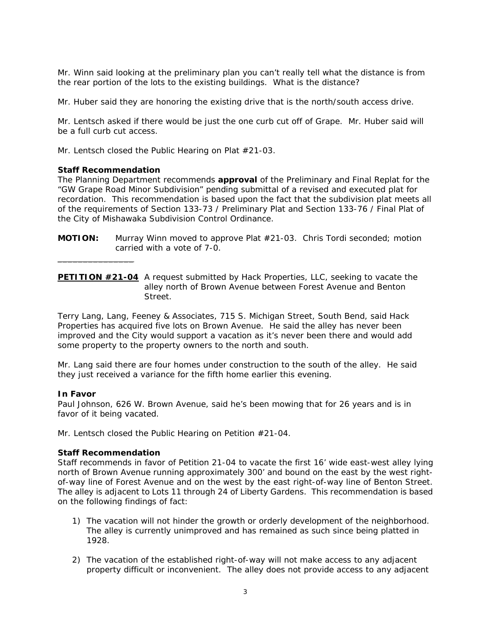Mr. Winn said looking at the preliminary plan you can't really tell what the distance is from the rear portion of the lots to the existing buildings. What is the distance?

Mr. Huber said they are honoring the existing drive that is the north/south access drive.

Mr. Lentsch asked if there would be just the one curb cut off of Grape. Mr. Huber said will be a full curb cut access.

Mr. Lentsch closed the Public Hearing on Plat #21-03.

### **Staff Recommendation**

 $\_$ 

*The Planning Department recommends approval of the Preliminary and Final Replat for the "GW Grape Road Minor Subdivision" pending submittal of a revised and executed plat for recordation. This recommendation is based upon the fact that the subdivision plat meets all of the requirements of Section 133-73 / Preliminary Plat and Section 133-76 / Final Plat of the City of Mishawaka Subdivision Control Ordinance.* 

**MOTION:** Murray Winn moved to approve Plat #21-03. Chris Tordi seconded; motion carried with a vote of 7-0.

**PETITION #21-04** A request submitted by Hack Properties, LLC, seeking to vacate the alley north of Brown Avenue between Forest Avenue and Benton Street.

Terry Lang, Lang, Feeney & Associates, 715 S. Michigan Street, South Bend, said Hack Properties has acquired five lots on Brown Avenue. He said the alley has never been improved and the City would support a vacation as it's never been there and would add some property to the property owners to the north and south.

Mr. Lang said there are four homes under construction to the south of the alley. He said they just received a variance for the fifth home earlier this evening.

#### **In Favor**

Paul Johnson, 626 W. Brown Avenue, said he's been mowing that for 26 years and is in favor of it being vacated.

Mr. Lentsch closed the Public Hearing on Petition #21-04.

#### **Staff Recommendation**

*Staff recommends in favor of Petition 21-04 to vacate the first 16' wide east-west alley lying north of Brown Avenue running approximately 300' and bound on the east by the west rightof-way line of Forest Avenue and on the west by the east right-of-way line of Benton Street. The alley is adjacent to Lots 11 through 24 of Liberty Gardens. This recommendation is based on the following findings of fact:* 

- *1) The vacation will not hinder the growth or orderly development of the neighborhood. The alley is currently unimproved and has remained as such since being platted in 1928.*
- *2) The vacation of the established right-of-way will not make access to any adjacent property difficult or inconvenient. The alley does not provide access to any adjacent*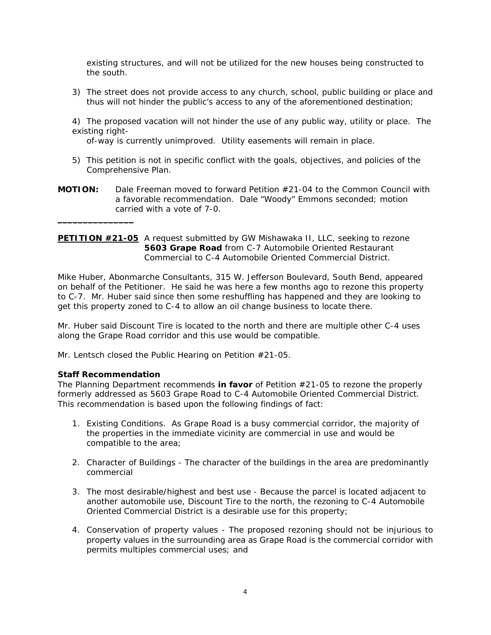*existing structures, and will not be utilized for the new houses being constructed to the south.* 

- *3) The street does not provide access to any church, school, public building or place and thus will not hinder the public's access to any of the aforementioned destination;*
- *4) The proposed vacation will not hinder the use of any public way, utility or place. The existing right-*

 *of-way is currently unimproved. Utility easements will remain in place.* 

- *5) This petition is not in specific conflict with the goals, objectives, and policies of the Comprehensive Plan.*
- **MOTION:** Dale Freeman moved to forward Petition #21-04 to the Common Council with a favorable recommendation. Dale "Woody" Emmons seconded; motion carried with a vote of 7-0.

## **PETITION #21-05** A request submitted by GW Mishawaka II, LLC, seeking to rezone **5603 Grape Road** from C-7 Automobile Oriented Restaurant Commercial to C-4 Automobile Oriented Commercial District.

Mike Huber, Abonmarche Consultants, 315 W. Jefferson Boulevard, South Bend, appeared on behalf of the Petitioner. He said he was here a few months ago to rezone this property to C-7. Mr. Huber said since then some reshuffling has happened and they are looking to get this property zoned to C-4 to allow an oil change business to locate there.

Mr. Huber said Discount Tire is located to the north and there are multiple other C-4 uses along the Grape Road corridor and this use would be compatible.

Mr. Lentsch closed the Public Hearing on Petition #21-05.

## **Staff Recommendation**

 $\_$ 

*The Planning Department recommends in favor of Petition #21-05 to rezone the properly formerly addressed as 5603 Grape Road to C-4 Automobile Oriented Commercial District. This recommendation is based upon the following findings of fact:* 

- *1. Existing Conditions. As Grape Road is a busy commercial corridor, the majority of the properties in the immediate vicinity are commercial in use and would be compatible to the area;*
- *2. Character of Buildings The character of the buildings in the area are predominantly commercial*
- *3. The most desirable/highest and best use Because the parcel is located adjacent to another automobile use, Discount Tire to the north, the rezoning to C-4 Automobile Oriented Commercial District is a desirable use for this property;*
- *4. Conservation of property values The proposed rezoning should not be injurious to property values in the surrounding area as Grape Road is the commercial corridor with permits multiples commercial uses; and*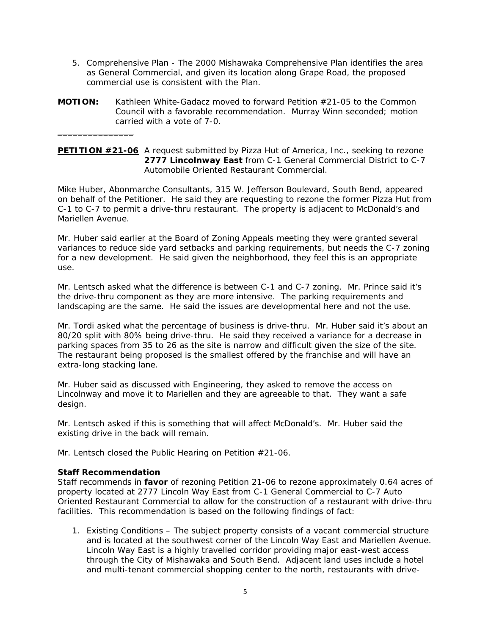- 5. *Comprehensive Plan The 2000 Mishawaka Comprehensive Plan identifies the area as General Commercial, and given its location along Grape Road, the proposed commercial use is consistent with the Plan.*
- **MOTION:** Kathleen White-Gadacz moved to forward Petition #21-05 to the Common Council with a favorable recommendation. Murray Winn seconded; motion carried with a vote of 7-0.

## **PETITION #21-06** A request submitted by Pizza Hut of America, Inc., seeking to rezone **2777 Lincolnway East** from C-1 General Commercial District to C-7 Automobile Oriented Restaurant Commercial.

Mike Huber, Abonmarche Consultants, 315 W. Jefferson Boulevard, South Bend, appeared on behalf of the Petitioner. He said they are requesting to rezone the former Pizza Hut from C-1 to C-7 to permit a drive-thru restaurant. The property is adjacent to McDonald's and Mariellen Avenue.

Mr. Huber said earlier at the Board of Zoning Appeals meeting they were granted several variances to reduce side yard setbacks and parking requirements, but needs the C-7 zoning for a new development. He said given the neighborhood, they feel this is an appropriate use.

Mr. Lentsch asked what the difference is between C-1 and C-7 zoning. Mr. Prince said it's the drive-thru component as they are more intensive. The parking requirements and landscaping are the same. He said the issues are developmental here and not the use.

Mr. Tordi asked what the percentage of business is drive-thru. Mr. Huber said it's about an 80/20 split with 80% being drive-thru. He said they received a variance for a decrease in parking spaces from 35 to 26 as the site is narrow and difficult given the size of the site. The restaurant being proposed is the smallest offered by the franchise and will have an extra-long stacking lane.

Mr. Huber said as discussed with Engineering, they asked to remove the access on Lincolnway and move it to Mariellen and they are agreeable to that. They want a safe design.

Mr. Lentsch asked if this is something that will affect McDonald's. Mr. Huber said the existing drive in the back will remain.

Mr. Lentsch closed the Public Hearing on Petition #21-06.

## **Staff Recommendation**

 $\_$ 

*Staff recommends in favor of rezoning Petition 21-06 to rezone approximately 0.64 acres of property located at 2777 Lincoln Way East from C-1 General Commercial to C-7 Auto Oriented Restaurant Commercial to allow for the construction of a restaurant with drive-thru facilities. This recommendation is based on the following findings of fact:* 

*1. Existing Conditions – The subject property consists of a vacant commercial structure and is located at the southwest corner of the Lincoln Way East and Mariellen Avenue. Lincoln Way East is a highly travelled corridor providing major east-west access through the City of Mishawaka and South Bend. Adjacent land uses include a hotel and multi-tenant commercial shopping center to the north, restaurants with drive-*